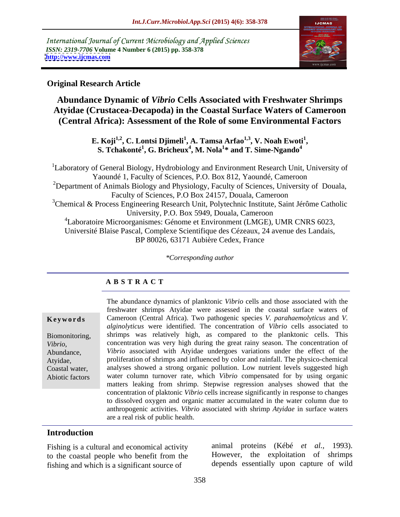International Journal of Current Microbiology and Applied Sciences *ISSN: 2319-7706* **Volume 4 Number 6 (2015) pp. 358-378 <http://www.ijcmas.com>**



**A B S T R A C T**

## **Original Research Article**

## **Abundance Dynamic of** *Vibrio* **Cells Associated with Freshwater Shrimps Atyidae (Crustacea-Decapoda) in the Coastal Surface Waters of Cameroon (Central Africa): Assessment of the Role of some Environmental Factors**

**E. K**oji<sup>1,2</sup>, C. Lontsi Djimeli<sup>1</sup>, A. Tamsa Arfao<sup>1,3</sup>, V. Noah Ewoti<sup>1</sup>,<br>S. Tchakonté<sup>1</sup>, G. Bricheux<sup>4</sup>, M. Nola<sup>1</sup>\* and T. Sime-Ngando<sup>4</sup>

<sup>1</sup>Laboratory of General Biology, Hydrobiology and Environment Research Unit, University of Yaoundé 1, Faculty of Sciences, P.O. Box 812, Yaoundé, Cameroon <sup>2</sup>Department of Animals Biology and Physiology, Faculty of Sciences, University of Douala, Faculty of Sciences, P.O Box 24157, Douala, Cameroon  $3$ Chemical & Process Engineering Research Unit, Polytechnic Institute, Saint Jérôme Catholic University, P.O. Box 5949, Douala, Cameroon 4Laboratoire Microorganismes: Génome et Environment (LMGE), UMR CNRS 6023, Université Blaise Pascal, Complexe Scientifique des Cézeaux, 24 avenue des Landais, BP 80026, 63171 Aubière Cedex, France

*\*Corresponding author*

Abiotic factors

The abundance dynamics of planktonic *Vibrio* cells and those associated with the freshwater shrimps Atyidae were assessed in the coastal surface waters of Cameroon (Central Africa). Two pathogenic species *V. parahaemolyticus* and *V.*  **Ke ywo rds** *alginolyticus* were identified. The concentration of *Vibrio* cells associated to Biomonitoring, shrimps was relatively high, as compared to the planktonic cells. This concentration was very high during the great rainy season. The concentration of *Vibrio*, concentration was very high during the great rainy season. The concentration of *Vibrio* associated with Atyidae undergoes variations under the effect of the proliferation of shrimps and influenced by color and rainfall. The physico-chemical Atyidae, analyses showed a strong organic pollution. Low nutrient levels suggested high Coastal water, water column turnover rate, which *Vibrio* compensated for by using organic matters leaking from shrimp. Stepwise regression analyses showed that the concentration of plaktonic *Vibrio* cells increase significantly in response to changes to dissolved oxygen and organic matter accumulated in the water column due to anthropogenic activities. *Vibrio* associated with shrimp *Atyidae* in surface waters are a real risk of public health.

## **Introduction**

Fishing is a cultural and economical activity to the coastal people who benefit from the fishing and which is a significant source of

animal proteins (Kébé *et al.,* 1993). However, the exploitation of shrimps depends essentially upon capture of wild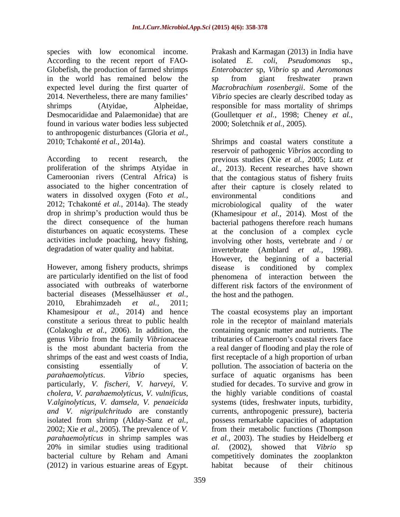species with low economical income. Prakash and Karmagan (2013) in India have According to the recent report of FAO- isolated E. coli, Pseudomonas sp., Globefish, the production of farmed shrimps *Enterobacter* sp, *Vibrio* sp and *Aeromonas* in the world has remained below the sp from giant freshwater prawn expected level during the first quarter of *Macrobrachium rosenbergii*. Some of the 2014. Nevertheless, there are many families *Vibrio* species are clearly described today as shrimps (Atyidae, Alpheidae, responsible for mass mortality of shrimps Desmocarididae and Palaemonidae) that are (Goulletquer *et al.,* 1998; Cheney *et al.,* found in various water bodies less subjected to anthropogenic disturbances (Gloria *et al.,*

waters in dissolved oxygen (Foto *et al.*, environmental conditions and degradation of water quality and habitat. invertebrate (Amblard *et al.*, 1998).

However, among fishery products, shrimps disease is conditioned by complex bacterial diseases (Messelhäusser *et al.,* 2010, Ebrahimzadeh *et al.,* 2011; particularly, *V. fischeri, V. harveyi, V. cholera, V. parahaemolyticus, V. vulnificus,* 2002; Xie *et al.,* 2005). The prevalence of *V.*  20% in similar studies using traditional al. (2002), showed that Vibrio sp (2012) in various estuarine areas of Egypt.

isolated *E. coli*, *Pseudomonas* sp., sp from giant freshwater prawn 2000; Soletchnik *et al.,* 2005).

2010; Tchakonté *et al.,* 2014a). Shrimps and coastal waters constitute a According to recent research, the previous studies (Xie *et al.,* 2005; Lutz *et*  proliferation of the shrimps Atyidae in *al.,* 2013). Recent researches have shown Cameroonian rivers (Central Africa) is that the contagious status of fishery fruits associated to the higher concentration of after their capture is closely related to 2012; Tchakonté *et al.,* 2014a). The steady microbiological quality of the water drop in shrimp's production would thus be (Khamesipour *et al.,* 2014). Most of the the direct consequence of the human bacterial pathogens therefore reach humans disturbances on aquatic ecosystems. These at the conclusion of a complex cycle activities include poaching, heavy fishing, involving other hosts, vertebrate and / or are particularly identified on the list of food phenomena of interaction between the associated with outbreaks of waterborne different risk factors of the environment of reservoir of pathogenic *Vibrio*s according to environmental conditions and invertebrate (Amblard *et al.,* 1998). However, the beginning of a bacterial disease is conditioned by the host and the pathogen.

Khamesipour *et al.,* 2014) and hence The coastal ecosystems play an important constitute a serious threat to public health role in the receptor of mainland materials (Colakoglu *et al.,* 2006). In addition, the containing organic matter and nutrients. The genus *Vibrio* from the family *Vibrionaceae* tributaries of Cameroon's coastal rivers face is the most abundant bacteria from the a real danger of flooding and play the role of shrimps of the east and west coasts of India, first receptacle of a high proportion of urban consisting essentially of *V.*  pollution. The association of bacteria on the *parahaemolyticus*. *Vibrio* species, surface of aquatic organisms has been *V.alginolyticus, V. damsela, V. penaeicida* systems (tides, freshwater inputs, turbidity, *and V. nigripulchritudo* are constantly currents, anthropogenic pressure), bacteria isolated from shrimp (Alday-Sanz *et al.,* possess remarkable capacities of adaptation *parahaemolyticus* in shrimp samples was *et al.,* 2003). The studies by Heidelberg *et*  bacterial culture by Reham and Amani competitively dominates the zooplankton studied for decades. To survive and grow in the highly variable conditions of coastal from their metabolic functions (Thompson *al.* (2002), showed that *Vibrio* sp habitat because of their chitinous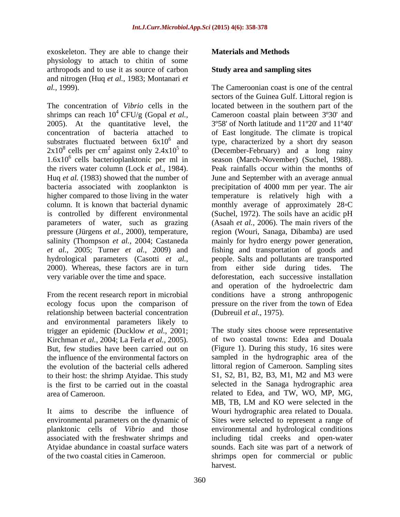exoskeleton. They are able to change their **Materials and Methods** physiology to attach to chitin of some arthropods and to use it as source of carbon and nitrogen (Huq *et al.,* 1983; Montanari *et* 

The concentration of *Vibrio* cells in the located between in the southern part of the shrimps can reach  $10^4$  CFU/g (Gopal *et al.*, 2005). At the quantitative level, the concentration of bacteria attached to of East longitude. The climate is tropical substrates fluctuated between  $6x10^6$  and type, characterized by a short dry season  $2x10^8$  cells per cm<sup>2</sup> against only 2.4x10<sup>5</sup> to  $1.6x10^6$  cells bacterioplanktonic per ml in the rivers water column (Lock *et al.,* 1984). Peak rainfalls occur within the months of Huq *et al.* (1983) showed that the number of June and September with an average annual bacteria associated with zooplankton is precipitation of 4000 mm per year. The air higher compared to those living in the water temperature is relatively high with a column. It is known that bacterial dynamic monthly average of approximately 28 °C is controlled by different environmental (Suchel, 1972). The soils have an acidic pH parameters of water, such as grazing pressure (Jürgens *et al.*, 2000), temperature, region (Wouri, Sanaga, Dibamba) are used salinity (Thompson *et al.,* 2004; Castaneda mainly for hydro energy power generation, *et al.,* 2005; Turner *et al.,* 2009) and fishing and transportation of goods and hydrological parameters (Casotti *et al.,* people. Salts and pollutants are transported 2000). Whereas, these factors are in turn from either side during tides. The very variable over the time and space. deforestation, each successive installation

relationship between bacterial concentration and environmental parameters likely to trigger an epidemic (Ducklow *et al.,* 2001; Kirchman *et al.,* 2004; La Ferla *et al.,* 2005). But, few studies have been carried out on the evolution of the bacterial cells adhered to their host: the shrimp Atyidae. This study

associated with the freshwater shrimps and

## **Materials and Methods**

#### **Study area and sampling sites**

*al.,* 1999). The Cameroonian coast is one of the central <sup>4</sup> CFU/g (Gopal *et al.,* Cameroon coastal plain between 3°30' and cells per cm<sup>2</sup> against only  $2.4 \times 10^5$  to (December-February) and a long rainy From the recent research report in microbial conditions have a strong anthropogenic ecology focus upon the comparison of pressure on the river from the town of Edea sectors of the Guinea Gulf. Littoral region is 3º58' of North latitude and 11º20' and 11º40' season (March-November) (Suchel, 1988). (Asaah *et al.,* 2006). The main rivers of the from either side during tides. The and operation of the hydroelectric dam (Dubreuil *et al.,* 1975).

the influence of the environmental factors on sampled in the hydrographic area of the is the first to be carried out in the coastal selected in the Sanaga hydrographic area area of Cameroon. related to Edea, and TW, WO, MP, MG, It aims to describe the influence of Wouri hydrographic area related to Douala. environmental parameters on the dynamic of Sites were selected to represent a range of planktonic cells of *Vibrio* and those environmental and hydrological conditions Atyidae abundance in coastal surface waters sounds. Each site was part of a network of of the two coastal cities in Cameroon. shrimps open for commercial or public The study sites choose were representative of two coastal towns: Edea and Douala (Figure 1). During this study, 16 sites were littoral region of Cameroon. Sampling sites S1, S2, B1, B2, B3, M1, M2 and M3 were MB, TB, LM and KO were selected in the including tidal creeks and open-water harvest.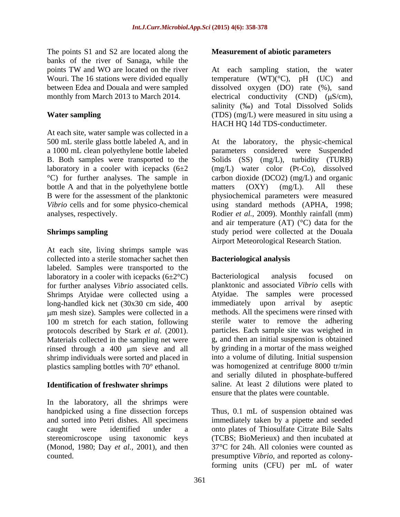The points S1 and S2 are located along the banks of the river of Sanaga, while the

At each site, water sample was collected in a bottle A and that in the polyethylene bottle matters (OXY) (mg/L). All these

At each site, living shrimps sample was collected into a sterile stomacher sachet then labeled. Samples were transported to the laboratory in a cooler with icepacks  $(6\pm2^{\circ}\text{C})$  Bacteriological analysis focused on for further analyses *Vibrio* associated cells.Shrimps Atyidae were collected using a long-handled kick net (30x30 cm side, 400 100 m stretch for each station, following protocols described by Stark *et al.* (2001). Materials collected in the sampling net were rinsed through a 400 µm sieve and all shrimp individuals were sorted and placed in

In the laboratory, all the shrimps were stereomicroscope using taxonomic keys (Monod, 1980; Day *et al.,* 2001), and then

## **Measurement of abiotic parameters**

points TW and WO are located on the river heach sampling station, the water Wouri. The 16 stations were divided equally temperature (WT)(<sup>o</sup>C), pH (UC) and between Edea and Douala and were sampled dissolved oxygen (DO) rate (%), sand monthly from March 2013 to March 2014.  $\qquad$  electrical conductivity (CND) ( $\mu$ S/cm), **Water sampling** (TDS) (mg/L) were measured in situ using a At each sampling station, the water salinity (%0) and Total Dissolved Solids HACH HQ 14d TDS-conductimeter.

500 mL sterile glass bottle labeled A, and in At the laboratory, the physic-chemical a 1000 mL clean polyethylenebottle labeled parameters considered were Suspended B. Both samples were transported to the Solids (SS) (mg/L), turbidity (TURB) laboratory in a cooler with icepacks (6±2 (mg/L) water color (Pt-Co), dissolved °C) for further analyses. The sample in carbon dioxide (DCO2) (mg/L) and organic B were for the assessment of the planktonic physiochemical parameters were measured *Vibrio* cells and for some physico-chemical using standard methods (APHA, 1998; analyses, respectively. Rodier *et al.,* 2009). Monthly rainfall (mm) **Shrimps sampling** study period were collected at the Douala matters (OXY) (mg/L). All these and air temperature  $(AT)$  ( $°C$ ) data for the Airport Meteorological Research Station.

## **Bacteriological analysis**

m mesh size). Samples were collected in a methods. All the specimens were rinsed with plastics sampling bottles with 70° ethanol. was homogenized at centrifuge 8000 tr/min **Identification of freshwater shrimps** saline. At least 2 dilutions were plated to Bacteriological analysis focused on planktonic and associated *Vibrio* cells with Atyidae. The samples were processed immediately upon arrival by aseptic sterile water to remove the adhering particles. Each sample site was weighed in g, and then an initial suspension is obtained by grinding in a mortar of the mass weighed into a volume of diluting. Initial suspension and serially diluted in phosphate-buffered ensure that the plates were countable.

handpicked using a fine dissection forceps Thus, 0.1 mL of suspension obtained was and sorted into Petri dishes. All specimens immediately taken by a pipette and seeded caught were identified under a onto plates of Thiosulfate Citrate Bile Salts counted. presumptive *Vibrio*, and reported as colony-(TCBS; BioMerieux) and then incubated at 37°C for 24h. All colonies were counted as forming units (CFU) per mL of water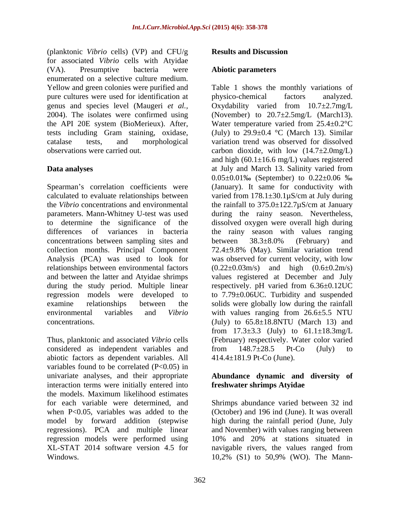(planktonic *Vibrio* cells) (VP) and CFU/g for associated *Vibrio* cells with Atyidae (VA). Presumptive bacteria were **Abiotic parameters** enumerated on a selective culture medium. pure cultures were used for identification at physico-chemical factors analyzed.

Spearman's correlation coefficients were (January). It same for conductivity with calculated to evaluate relationships between varied from 178.1±30.1µS/cm at July during the *Vibrio* concentrations and environmental the rainfall to 375.0±122.7µS/cm at January parameters. Mann-Whitney U-test was used during the rainy season. Nevertheless, to determine the significance of the dissolved oxygen were overall high during differences of variances in bacteria the rainy season with values ranging concentrations between sampling sites and between 38.3±8.0% (February) and collection months. Principal Component Analysis (PCA) was used to look for was observed for current velocity, with low relationships between environmental factors (0.22±0.03m/s) and high (0.6±0.2m/s) and between the latter and Atyidae shrimps values registered at December and July during the study period. Multiple linear regression models were developed to to 7.79±0.06UC. Turbidity and suspended examine relationships between the solids were globally low during the rainfall environmental variables and *Vibrio* with values ranging from 26.6±5.5 NTU  $concentrations.$  (July) to  $65.8 \pm 18.8$ NTU (March 13) and

Thus, planktonic and associated *Vibrio* cells considered as independent variables and from 148.7±28.5 Pt-Co (July) to abiotic factors as dependent variables. All variables found to be correlated  $(P<0.05)$  in univariate analyses, and their appropriate **Abundance dynamic and diversity of** interaction terms were initially entered into the models. Maximum likelihood estimates for each variable were determined, and Shrimps abundance varied between 32 ind when P<0.05, variables was added to the (October) and 196 ind (June). It was overall model by forward addition (stepwise high during the rainfall period (June, July regressions). PCA and multiple linear regression models were performed using 10% and 20% at stations situated in XL-STAT 2014 software version 4.5 for navigable rivers, the values ranged from

## **Results and Discussion**

#### **Abiotic parameters**

Yellow and green colonies were purified and Table 1 shows the monthly variations of genus and species level (Maugeri *et al.,* Oxydability varied from 10.7±2.7mg/L 2004). The isolates were confirmed using (November) to 20.7±2.5mg/L (March13). the API 20E system (BioMerieux). After, Water temperature varied from 25.4±0.2°C tests including Gram staining, oxidase,  $(July)$  to  $29.9 \pm 0.4$  °C (March 13). Similar catalase tests, and morphological variation trend was observed for dissolved observations were carried out. carbon dioxide, with low (14.7±2.0mg/L) **Data analyses** at July and March 13. Salinity varied from physico-chemical factors analyzed. and high  $(60.1 \pm 16.6 \text{ mg/L})$  values registered  $0.05\pm0.01\%$  (September) to  $0.22\pm0.06\%$ between 38.3±8.0% (February) and  $72.4\pm9.8\%$  (May). Similar variation trend respectively. pH varied from 6.36±0.12UC from  $17.3 \pm 3.3$  (July) to  $61.1 \pm 18.3$ mg/L (February) respectively. Water color varied from 148.7±28.5 Pt-Co (July) to 414.4±181.9 Pt-Co (June).

# **freshwater shrimps Atyidae**

Windows. **10,2%** (S1) to 50,9% (WO). The Mannand November) with values ranging between 10% and 20% at stations situated in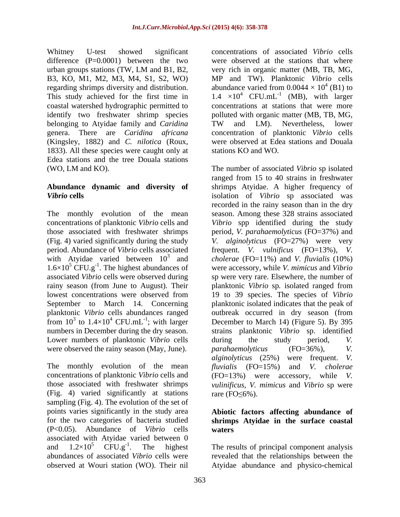difference (P=0.0001) between the two urban groups stations (TW, LM and B1, B2, regarding shrimps diversity and distribution. abundance varied from 0.0044  $\times$  10<sup>4</sup> (B1) to belonging to Atyidae family and *Caridina* TW and LM). Nevertheless, lower (Kingsley, 1882) and *C. nilotica* (Roux, 1833). All these species were caught only at Edea stations and the tree Douala stations

The monthly evolution of the mean with Atyidae varied between  $10^3$  and  $1.6\times10^5$  CFU.g<sup>-1</sup>. The highest abundances of from  $10^3$  to  $1.4 \times 10^4$  CFU.mL<sup>-1</sup>; with larger Lower numbers of planktonic *Vibrio* cells during the study period, V. were observed the rainy season (May, June). parahaemolyticus (FO=36%), V.

The monthly evolution of the mean (Fig. 4) varied significantly at stations rare  $(FO \le 6\%)$ . sampling (Fig. 4). The evolution of the set of points varies significantly in the study area **Abiotic factors affecting abundance of** for the two categories of bacteria studied **shrimps Atyidae in the surface coastal** (P<0.05). Abundance of *Vibrio* cells associated with Atyidae varied between 0<br>and  $1.2 \times 10^5$  CFU.g<sup>-1</sup>. The highest and  $1.2 \times 10^5$  CFU.g<sup>-1</sup>. The highest The results of principal component analysis abundances of associated *Vibrio* cells were revealed that the relationships between the

Whitney U-test showed significant concentrations of associated *Vibrio* cells B3, KO, M1, M2, M3, M4, S1, S2, WO) MP and TW). Planktonic *Vibrio* cells This study achieved for the first time in  $1.4 \times 10^4$  CFU.mL<sup>-1</sup> (MB), with larger coastal watershed hydrographic permitted to concentrations at stations that were more identify two freshwater shrimp species polluted with organic matter (MB, TB, MG, genera. There are *Caridina africana* concentration of planktonic *Vibrio* cells were observed at the stations that where very rich in organic matter (MB, TB, MG, abundance varied from  $0.0044 \times 10^4$  (B1) to  $^{4}$  (D<sub>1</sub>) to  $(B1)$  to (MB), with larger TW and LM). Nevertheless, lower were observed at Edea stations and Douala stations KO and WO.

(WO, LM and KO). The number of associated *Vibrio* sp isolated **Abundance dynamic and diversity of** shrimps Atyidae. A higher frequency of *Vibrio* **cells**  isolation of *Vibrio* sp associated was concentrations of planktonic *Vibrio* cells and *Vibrio* spp identified during the study those associated with freshwater shrimps period, *V. parahaemolyticus* (FO=37%) and (Fig. 4) varied significantly during the study *V. alginolyticus* (FO=27%) were very period. Abundance of *Vibrio* cells associated frequent. *V. vulnificus* (FO=13%), *V.*  3 and *cholerae* (FO=11%) and *V. fluvialis* (10%) -1 . The highest abundances of were accessory, while *V. mimicus* and *Vibrio* associated *Vibrio* cells were observed during sp were very rare. Elsewhere, the number of rainy season (from June to August). Their planktonic *Vibrio* sp*.* isolated ranged from lowest concentrations were observed from 19 to 39 species. The species of *Vibrio* September to March 14. Concerning planktonic isolated indicates that the peak of planktonic *Vibrio* cells abundances ranged outbreak occurred in dry season (from from  $10^3$  to  $1.4 \times 10^4$  CFU.mL<sup>-1</sup>; with larger December to March 14) (Figure 5). By 395 numbers in December during the dry season. strains planktonic *Vibrio* sp. identified concentrations of planktonic *Vibrio* cells and (FO=13%) were accessory, while *V.* those associated with freshwater shrimps *vulinificus, V. mimicus* and *Vibrio* sp were ranged from 15 to 40 strains in freshwater recorded in the rainy season than in the dry season. Among these 328 strains associated during the study period, *V. parahaemolyticus* (FO=36%), *V. alginolyticus* (25%) were frequent. *V. fluvialis* (FO=15%) and *V. cholerae* rare  $(FO \le 6\%)$ .

# **waters**

observed at Wouri station (WO). Their nil Atyidae abundance and physico-chemical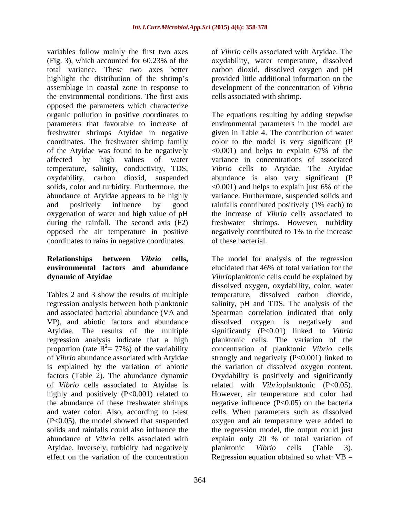variables follow mainly the first two axes of *Vibrio* cells associated with Atyidae. The (Fig. 3), which accounted for 60.23% of the oxydability, water temperature, dissolved total variance. These two axes better carbon dioxid, dissolved oxygen and pH highlight the distribution of the shrimp's provided little additional information on the assemblage in coastal zone in response to development of the concentration of *Vibrio* the environmental conditions. The first axis opposed the parameters which characterize organic pollution in positive coordinates to The equations resulting by adding stepwise parameters that favorable to increase of environmental parameters in the model are freshwater shrimps Atyidae in negative coordinates. The freshwater shrimp family color to the model is very significant (P of the Atyidae was found to be negatively <0.001) and helps to explain 67% of the affected by high values of water variance in concentrations of associated temperature, salinity, conductivity, TDS, *Vibrio* cells to Atyidae. The Atyidae oxydability, carbon dioxid, suspended abundance is also very significant (P solids, color and turbidity. Furthermore, the  $\sim$  0.001) and helps to explain just 6% of the abundance of Atyidae appears to be highly variance. Furthermore, suspended solids and and positively influence by good rainfalls contributed positively (1% each) to oxygenation of water and high value of pH the increase of *Vibrio* cells associated to during the rainfall. The second axis (F2) freshwater shrimps. However, turbidity opposed the air temperature in positive negatively contributed to 1% to the increase coordinates to rains in negative coordinates.

VP), and abiotic factors and abundance dissolved oxygen is negatively and Atyidae. The results of the multiple regression analysis indicate that a high<br>proportion (rate  $R^2 = 77\%$ ) of the variability factors (Table 2). The abundance dynamic abundance of *Vibrio* cells associated with Atyidae. Inversely, turbidity had negatively blanktonic Vibrio cells (Table 3). effect on the variation of the concentration Regression equation obtained so what: VB =

oxydability, water temperature, dissolved cells associated with shrimp.

given in Table 4. The contribution of water of these bacterial.

**Relationships between** *Vibrio* **cells,** The model for analysis of the regression **environmental factors and abundance** elucidated that 46% of total variation for the **dynamic of Atyidae**  *Vibrio*planktonic cells could be explained by Tables 2 and 3 show the results of multiple temperature, dissolved carbon dioxide, regression analysis between both planktonic salinity, pH and TDS. The analysis of the and associated bacterial abundance (VA and Spearman correlation indicated that only proportion (rate R<sup>2</sup>= 77%) of the variability concentration of planktonic *Vibrio* cells of *Vibrio* abundance associated with Atyidae strongly and negatively (P<0.001) linked to is explained by the variation of abiotic the variation of dissolved oxygen content. of *Vibrio* cells associated to Atyidae is related with *Vibrio*planktonic (P<0.05). highly and positively (P<0.001) related to However, air temperature and color had the abundance of these freshwater shrimps negative influence (P<0.05) on the bacteria and water color. Also, according to t-test cells. When parameters such as dissolved (P<0.05), the model showed that suspended oxygen and air temperature were added to solids and rainfalls could also influence the the regression model, the output could just dissolved oxygen, oxydability, color, water dissolved oxygen is negatively and significantly (P<0.01) linked to *Vibrio* planktonic cells. The variation of the Oxydability is positively and significantly explain only 20 % of total variation of planktonic *Vibrio* cells (Table 3).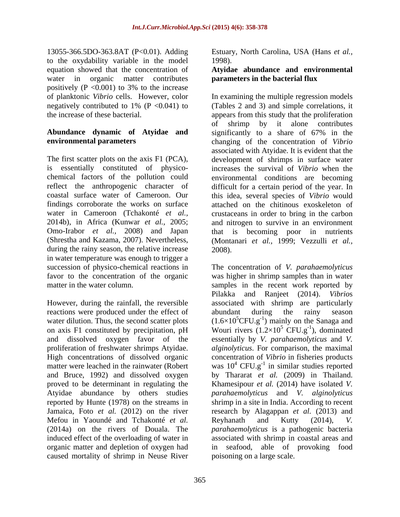13055-366.5DO-363.8AT (P<0.01). Adding Estuary, North Carolina, USA (Hans *et al.,* to the oxydability variable in the model equation showed that the concentration of **Atyidae abundance and environmental** water in organic matter contributes positively  $(P \le 0.001)$  to 3% to the increase

during the rainy season, the relative increase 2008). in water temperature was enough to trigger a

However, during the rainfall, the reversible reactions were produced under the effect of abundant during the rainy season Atyidae abundance by others studies reported by Hunte (1978) on the streams in Mefou in Yaoundé and Tchakonté *et al.* caused mortality of shrimp in Neuse River

1998).

# **parameters in the bacterial flux**

of planktonic *Vibrio* cells. However, color In examining the multiple regression models negatively contributed to 1% (P <0.041) to (Tables 2 and 3) and simple correlations, it the increase of these bacterial. appears from this study that the proliferation **Abundance dynamic of Atyidae and** significantly to a share of 67% in the **environmental parameters**  changing of the concentration of *Vibrio* The first scatter plots on the axis F1 (PCA), development of shrimps in surface water is essentially constituted of physico- increases the survival of *Vibrio* when the chemical factors of the pollution could environmental conditions are becoming reflect the anthropogenic character of difficult for a certain period of the year. In coastal surface water of Cameroon. Our this idea, several species of *Vibrio* would findings corroborate the works on surface attached on the chitinous exoskeleton of water in Cameroon (Tchakonté *et al.*, crustaceans in order to bring in the carbon 2014b), in Africa (Kunwar *et al.,* 2005; and nitrogen to survive in an environment Omo-Irabor *et al.,* 2008) and Japan that is becoming poor in nutrients (Shrestha and Kazama, 2007). Nevertheless, (Montanari *et al.,* 1999; Vezzulli *et al.,* of shrimp by it alone contributes associated with Atyidae. It is evident that the 2008).

succession of physico-chemical reactions in The concentration of *V. parahaemolyticus* favor to the concentration of the organic was higher in shrimp samples than in water matter in the water column. samples in the recent work reported by water dilution. Thus, the second scatter plots  $(1.6\times10^5 \text{CFU} \cdot \text{g}^{-1})$  mainly on the Sanaga and on axis F1 constituted by precipitation, pH Wouri rivers  $(1.2\times10^5 \text{ CFU.g}^{-1})$ , dominated and dissolved oxygen favor of the essentially by *V. parahaemolyticus* and *V.*  proliferation of freshwater shrimps Atyidae. *alginolyticus*. For comparison, the maximal High concentrations of dissolved organic concentration of *Vibrio* in fisheries products matter were leached in the rainwater (Robert was  $10^4$  CFU.g<sup>-1</sup> in similar studies reported and Bruce, 1992) and dissolved oxygen by Thararat *et al.* (2009) in Thailand. proved to be determinant in regulating the Khamesipour *et al.* (2014) have isolated *V.*  Jamaica, Foto *et al.* (2012) on the river research by Alagappan *et al.* (2013) and (2014a) on the rivers of Douala. The *parahaemolyticus* is a pathogenic bacteria induced effect of the overloading of water in associated with shrimp in coastal areas and organic matter and depletion of oxygen had in seafood, able of provoking food Pilakka and Ranjeet (2014). *Vibrio*s associated with shrimp are particularly abundant during the rainy season  $5 \text{ CFU.g}^{-1}$ ), dominated  $-1$ ) dominated ), dominated *parahaemolyticus* and *V. alginolyticus* shrimp in a site in India. According to recent Reyhanath and Kutty (2014), *V.*  poisoning on a large scale.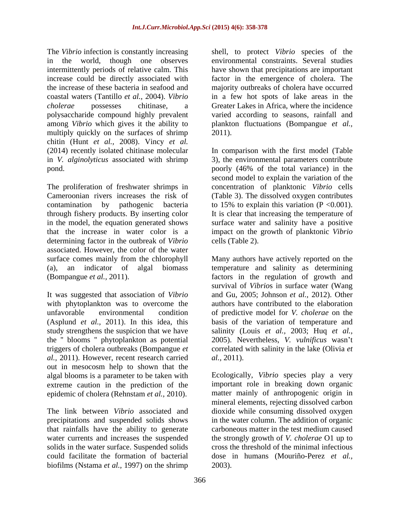polysaccharide compound highly prevalent multiply quickly on the surfaces of shrimp 2011). chitin (Hunt *et al.,* 2008). Vincy *et al.*

The proliferation of freshwater shrimps in concentration of planktonic *Vibrio* cells Cameroonian rivers increases the risk of (Table 3). The dissolved oxygen contributes contamination by pathogenic bacteria to 15% to explain this variation (P <0.001). through fishery products. By inserting color in the model, the equation generated shows surface water and salinity have a positive that the increase in water color is a impact on the growth of planktonic *Vibrio* determining factor in the outbreak of *Vibrio* associated. However, the color of the water surface comes mainly from the chlorophyll Many authors have actively reported on the (a), an indicator of algal biomass temperature and salinity as determining (Bompangue *et al.,* 2011). factors in the regulation of growth and

It was suggested that association of *Vibrio* with phytoplankton was to overcome the the '' blooms '' phytoplankton as potential *al.,* 2011). However, recent research carried out in mesocosm help to shown that the algal blooms is a parameter to be taken with extreme caution in the prediction of the epidemic of cholera (Rehnstam *et al.,* 2010).

that rainfalls have the ability to generate biofilms (Nstama *et al.,* 1997) on the shrimp

The *Vibrio* infection is constantly increasing shell, to protect *Vibrio* species of the in the world, though one observes environmental constraints. Several studies intermittently periods of relative calm. This have shown that precipitations are important increase could be directly associated with factor in the emergence of cholera. The the increase of these bacteria in seafood and majority outbreaks of cholera have occurred coastal waters (Tantillo *et al.,* 2004). *Vibrio* in a few hot spots of lake areas in the *cholerae* possesses chitinase, a Greater Lakes in Africa, where the incidence among *Vibrio* which gives it the ability to plankton fluctuations (Bompangue *et al.,* varied according to seasons, rainfall and 2011).

(2014) recently isolated chitinase molecular In comparison with the first model (Table in *V. alginolyticus* associated with shrimp 3), the environmental parameters contribute pond. poorly (46% of the total variance) in the second model to explain the variation of the It is clear that increasing the temperature of cells (Table 2).

unfavorable environmental condition of predictive model for *V. cholerae* on the (Asplund *et al.,* 2011). In this idea, this basis of the variation of temperature and study strengthens the suspicion that we have salinity (Louis *et al.,* 2003; Huq *et al.,* triggers of cholera outbreaks (Bompangue *et*  correlated with salinity in the lake (Olivia *et*  survival of *Vibrio*s in surface water (Wang and Gu, 2005; Johnson *et al.,* 2012). Other authors have contributed to the elaboration 2005). Nevertheless, *V. vulnificus* wasn t *al.,* 2011).

The link between *Vibrio* associated and dioxide while consuming dissolved oxygen precipitations and suspended solids shows in the water column. The addition of organic water currents and increases the suspended the strongly growth of *V. cholerae* O1 up to solids in the water surface. Suspended solids cross the threshold of the minimal infectious could facilitate the formation of bacterial dose in humans (Mouriño-Perez *et al.,* Ecologically, *Vibrio* species play a very important role in breaking down organic matter mainly of anthropogenic origin in mineral elements, rejecting dissolved carbon carboneous matter in the test medium caused 2003).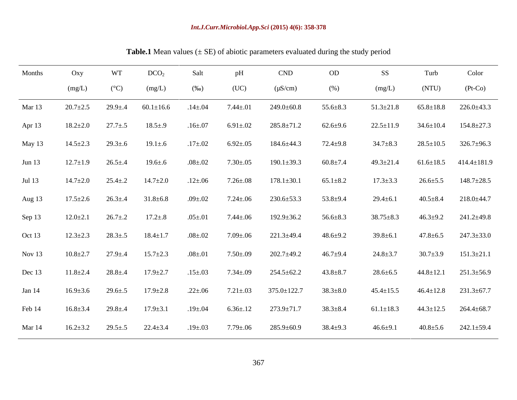#### *Int.J.Curr.Microbiol.App.Sci* **(2015) 4(6): 358-378**

| Months   | Oxy            | W <sup>-1</sup> | DCO <sub>2</sub>              | Salt          | pH               | <b>CND</b>        | OD             | SS              | Turb            | the contract of the contract of the contract of<br>Color |
|----------|----------------|-----------------|-------------------------------|---------------|------------------|-------------------|----------------|-----------------|-----------------|----------------------------------------------------------|
|          | (mg/L)         | $(^{\circ}C)$   | (mg/L)                        | $(\%0)$       | (UC)             | $(\mu S/cm)$      | (%)            | (mg/L)          | (NTU)           | $(Pt-Co)$                                                |
| Mar 13   | $20.7 \pm 2.5$ |                 | $29.9 \pm .4$ 60.1 $\pm$ 16.6 | $.14 \pm .04$ | $7.44 \pm .01$   | $249.0 \pm 60.8$  | $55.6 \pm 8.3$ | $51.3 \pm 21.8$ | $65.8 \pm 18.8$ | $226.0 \pm 43.3$                                         |
| Apr $13$ | $18.2 \pm 2.0$ | $27.7 \pm .5$   | $18.5 \pm .9$                 | $.16{\pm}.07$ | $6.91 \pm .02$   | $285.8 \pm 71.2$  | $62.6 \pm 9.6$ | $22.5 \pm 11.9$ | $34.6 \pm 10.4$ | $154.8 \pm 27.3$                                         |
| May 13   | $14.5 \pm 2.3$ | $29.3 \pm .6$   | $19.1 \pm .6$                 | $.17{\pm}.02$ | $6.92{\pm}.05$   | 184.6±44.3        | $72.4 \pm 9.8$ | $34.7 \pm 8.3$  |                 | $28.5 \pm 10.5$ $326.7 \pm 96.3$                         |
| Jun $13$ | $12.7 \pm 1.9$ | $26.5 \pm .4$   | $19.6 \pm .6$                 | $.08{\pm}.02$ | $7.30{\pm}.05$   | $190.1 \pm 39.3$  | $60.8{\pm}7.4$ | $49.3 \pm 21.4$ |                 | $61.6 \pm 18.5$ $414.4 \pm 181.9$                        |
| Jul 13   | $14.7 \pm 2.0$ | $25.4 \pm .2$   | $14.7 \pm 2.0$                | $.12{\pm}.06$ | $7.26 \pm .08$   | $178.1 \pm 30.1$  | $65.1 \pm 8.2$ | $17.3 \pm 3.3$  | $26.6 \pm 5.5$  | $148.7 \pm 28.5$                                         |
| Aug 13   | $17.5 \pm 2.6$ | $26.3 \pm .4$   | $31.8 \pm 6.8$                | $.09 \pm .02$ | $7.24 \pm .06$   | $230.6 \pm 53.3$  | $53.8 \pm 9.4$ | $29.4 \pm 6.1$  | $40.5 \pm 8.4$  | $218.0 \pm 44.7$                                         |
| Sep 13   | $12.0 \pm 2.1$ | $26.7 \pm .2$   | $17.2 \pm .8$                 | $.05 \pm .01$ | $7.44 {\pm} .06$ | $192.9 \pm 36.2$  | $56.6 \pm 8.3$ | $38.75 \pm 8.3$ | $46.3 \pm 9.2$  | 241.2±49.8                                               |
| Oct 13   | $12.3 \pm 2.3$ | $28.3 \pm .5$   | $18.4 \pm 1.7$                | $.08{\pm}.02$ | $7.09 \pm .06$   | $221.3 \pm 49.4$  | $48.6 \pm 9.2$ | $39.8 \pm 6.1$  | 47.8 $\pm$ 6.5  | $247.3 \pm 33.0$                                         |
| Nov 13   | $10.8 \pm 2.7$ | $27.9 \pm .4$   | $15.7 \pm 2.3$                | $.08 \pm .01$ | $7.50{\pm}.09$   | $202.7 \pm 49.2$  | $46.7 \pm 9.4$ | $24.8 \pm 3.7$  | $30.7 \pm 3.9$  | $151.3 \pm 21.1$                                         |
| Dec 13   | $11.8 \pm 2.4$ | $28.8 \pm .4$   | $17.9 \pm 2.7$                | $.15{\pm}.03$ | $7.34 \pm .09$   | $254.5 \pm 62.2$  | $43.8 \pm 8.7$ | $28.6 \pm 6.5$  | $44.8 \pm 12.1$ | $251.3 \pm 56.9$                                         |
| Jan $14$ | $16.9 \pm 3.6$ | $29.6 \pm .5$   | $17.9 \pm 2.8$                | $.22 \pm .06$ | $7.21 \pm .03$   | $375.0 \pm 122.7$ | $38.3 \pm 8.0$ | $45.4 \pm 15.5$ | $46.4 \pm 12.8$ | $231.3 \pm 67.7$                                         |
| Feb 14   | $16.8 \pm 3.4$ | $29.8 \pm .4$   | $17.9 \pm 3.1$                | $.19{\pm}.04$ | $6.36{\pm}.12$   | $273.9 \pm 71.7$  | $38.3 \pm 8.4$ | $61.1 \pm 18.3$ | $44.3 \pm 12.5$ | $264.4 \pm 68.7$                                         |
| Mar 14   | $16.2 \pm 3.2$ | $29.5 \pm .5$   | $22.4 \pm 3.4$                | $.19{\pm}.03$ | $7.79 \pm .06$   | $285.9 \pm 60.9$  | $38.4 \pm 9.3$ | $46.6 \pm 9.1$  | $40.8 \pm 5.6$  | $242.1 \pm 59.4$                                         |

**Table.1** Mean values (± SE) of abiotic parameters evaluated during the study period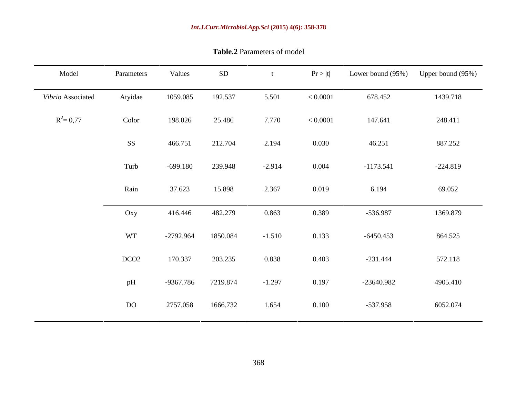| Vibrio Associated<br>$R^2 = 0.77$ | Atyidae<br>Color<br>SS<br>Turb | 1059.085<br>198.026<br>466.751 | 192.537<br>25.486<br>212.704 | 5.501<br>7.770<br>2.194 | < 0.0001<br>< 0.0001 | 678.452<br>147.641 | 1439.718<br>248.411 |
|-----------------------------------|--------------------------------|--------------------------------|------------------------------|-------------------------|----------------------|--------------------|---------------------|
|                                   |                                |                                |                              |                         |                      |                    |                     |
|                                   |                                |                                |                              |                         |                      |                    |                     |
|                                   |                                |                                |                              |                         | 0.030                | 46.251             | 887.252             |
|                                   |                                | $-699.180$                     | 239.948                      | $-2.914$                | 0.004                | $-1173.541$        | $-224.819$          |
|                                   | Rain                           | 37.623                         | 15.898                       | 2.367                   | 0.019                | 6.194              | 69.052              |
|                                   | Oxy                            | 416.446                        | 482.279                      | 0.863                   | 0.389                | $-536.987$         | 1369.879            |
|                                   | <b>WT</b>                      | $-2792.964$                    | 1850.084                     | $-1.510$                | 0.133                | $-6450.453$        | 864.525             |
|                                   | DCO <sub>2</sub>               | 170.337                        | 203.235                      | 0.838                   | 0.403                | $-231.444$         | 572.118             |
|                                   | pH                             | -9367.786                      | 7219.874                     | $-1.297$                | 0.197                | -23640.982         | 4905.410            |
|                                   | DO                             | 2757.058                       | 1666.732                     | 1.654                   | 0.100                | $-537.958$         | 6052.074            |

**Table.2** Parameters of model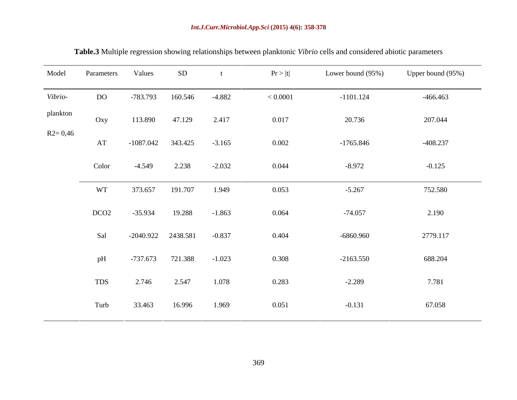| Model       | Parameters       | Values      | SD       |          | Pr >  t  | Lower bound (95%) | Upper bound (95%) |
|-------------|------------------|-------------|----------|----------|----------|-------------------|-------------------|
| Vibrio-     | DO               | -783.793    | 160.546  | $-4.882$ | < 0.0001 | $-1101.124$       | $-466.463$        |
| plankton    | Oxy              | 113.890     | 47.129   | 2.417    | 0.017    | 20.736            | 207.044           |
| $R2 = 0,46$ | AT               | $-1087.042$ | 343.425  | $-3.165$ | 0.002    | $-1765.846$       | $-408.237$        |
|             | Color            | $-4.549$    | 2.238    | $-2.032$ | 0.044    | $-8.972$          | $-0.125$          |
|             | <b>WT</b>        | 373.657     | 191.707  | 1.949    | 0.053    | $-5.267$          | 752.580           |
|             | DCO <sub>2</sub> | $-35.934$   | 19.288   | $-1.863$ | 0.064    | $-74.057$         | 2.190             |
|             | Sal              | $-2040.922$ | 2438.581 | $-0.837$ | 0.404    | -6860.960         | 2779.117          |
|             | pH               | $-737.673$  | 721.388  | $-1.023$ | 0.308    | $-2163.550$       | 688.204           |
|             | <b>TDS</b>       | 2.746       | 2.547    | 1.078    | 0.283    | $-2.289$          | 7.781             |
|             | Turb             | 33.463      | 16.996   | 1.969    | 0.051    | $-0.131$          | 67.058            |

**Table.3** Multiple regression showing relationships between planktonic *Vibrio* cells and considered abiotic parameters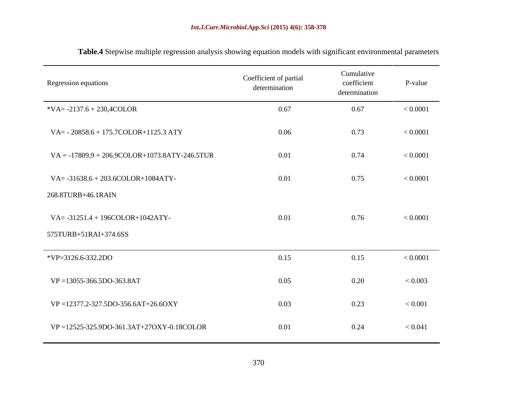| Regression equations                                | Coefficient of partial<br>determination | Cumulative<br>coefficient<br>determination | P-value     |
|-----------------------------------------------------|-----------------------------------------|--------------------------------------------|-------------|
| *VA= $-2137.6 + 230,4$ COLOR                        | 0.67                                    | 0.67                                       | < 0.0001    |
| VA= - 20858.6 + 175.7COLOR+1125.3 ATY               | 0.06                                    | 0.73                                       | < 0.0001    |
| $VA = -17809,9 + 206.9COLOR + 1073.8ATY - 246.5TUR$ | 0.01                                    | 0.74                                       | < 0.0001    |
| $VA = -31638.6 + 203.6COLOR + 1084ATY -$            | 0.01                                    | 0.75                                       | < 0.0001    |
| 268.8TURB+46.1RAIN                                  |                                         |                                            |             |
| $VA = -31251.4 + 196COLOR + 1042ATY -$              | 0.01                                    | 0.76                                       | < 0.0001    |
| 575TURB+51RAI+374.6SS                               |                                         |                                            |             |
| *VP=3126.6-332.2DO                                  | 0.15                                    | 0.15                                       | < 0.0001    |
| $VP = 13055 - 366.5DO - 363.8AT$                    | 0.05                                    | 0.20                                       | < 0.003     |
| VP=12377.2-327.5DO-356.6AT+26.6OXY                  | 0.03                                    | 0.23                                       | ${}< 0.001$ |
| VP=12525-325.9DO-361.3AT+27OXY-0.18COLOR            | 0.01                                    | 0.24                                       | < 0.041     |

**Table.4** Stepwise multiple regression analysis showing equation models with significant environmental parameters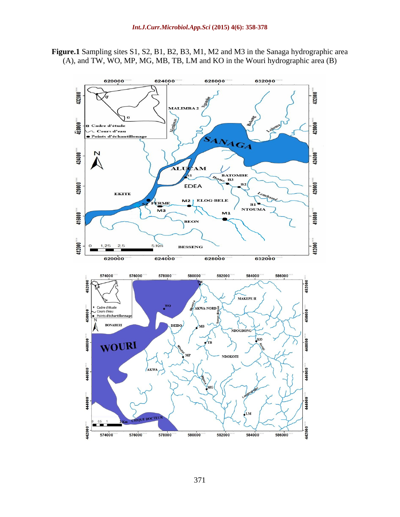

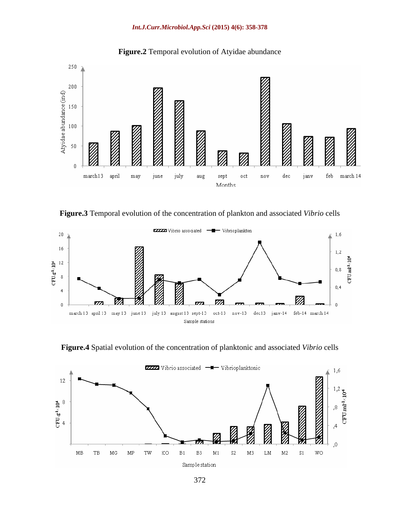#### *Int.J.Curr.Microbiol.App.Sci* **(2015) 4(6): 358-378**



**Figure.2** Temporal evolution of Atyidae abundance

**Figure.3** Temporal evolution of the concentration of plankton and associated *Vibrio* cells



**Figure.4** Spatial evolution of the concentration of planktonic and associated *Vibrio* cells

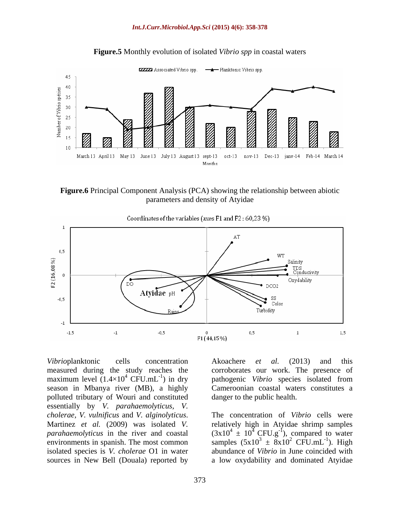

**Figure.5** Monthly evolution of isolated *Vibrio spp* in coastal waters

**Figure.6** Principal Component Analysis (PCA) showing the relationship between abiotic parameters and density of Atyidae



*Vibrio* planktonic cells concentration Akoachere *et al.* (2013) and this measured during the study reaches the corroborates our work. The presence of maximum level  $(1.4 \times 10^4 \text{ CFU.mL}^{-1})$  in dry pathogenic *Vibrio* species isolated from season in Mbanya river (MB), a highly Cameroonian coastal waters constitutes a polluted tributary of Wouri and constituted essentially by *V. parahaemolyticus, V. cholerae, V. vulnificus* and *V. alginolyticus*. Martinez *et al.* (2009) was isolated *V. parahaemolyticus* in the river and coastal  $(3x10^4 \pm 10^4 \text{ CFU.g}^{-1})$ , compared to water environments in spanish. The most common samples  $(5x10^3 \pm 8x10^2 \text{ CFU.mL}^{-1})$ . High isolated species is *V. cholerae* O1 in water abundance of *Vibrio* in June coincided with

Akoachere *et al.* (2013) and this danger to the public health.

sources in New Bell (Douala) reported by a low oxydability and dominated AtyidaeThe concentration of *Vibrio* cells were relatively high in Atyidae shrimp samples <sup>2</sup> CFU.mL<sup>-1</sup>). High  $-1$   $\qquad \qquad$   $\qquad \qquad$   $\qquad$   $\qquad$   $\qquad$   $\qquad$   $\qquad$   $\qquad$   $\qquad$   $\qquad$   $\qquad$   $\qquad$   $\qquad$   $\qquad$   $\qquad$   $\qquad$   $\qquad$   $\qquad$   $\qquad$   $\qquad$   $\qquad$   $\qquad$   $\qquad$   $\qquad$   $\qquad$   $\qquad$   $\qquad$   $\qquad$   $\qquad$   $\qquad$   $\qquad$   $\qquad$   $\qquad$   $\qquad$   $\qquad$  ). High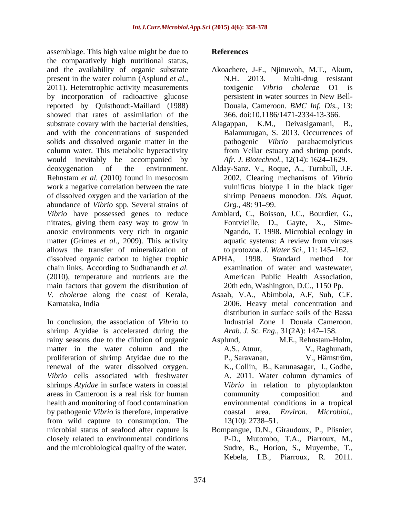assemblage. This high value might be due to the comparatively high nutritional status, and the availability of organic substrate Akoachere, J-F., Njinuwoh, M.T., Akum, present in the water column (Asplund *et al.*, N.H. 2013. Multi-drug resistant 2011). Heterotrophic activity measurements toxigenic Vibrio cholerae O1 is by incorporation of radioactive glucose reported by Quisthoudt-Maillard (1988) showed that rates of assimilation of the substrate covary with the bacterial densities,  $\mu$  Alagappan, K.M., Deivasigamani, B., and with the concentrations of suspended solids and dissolved organic matter in the column water. This metabolic hyperactivity would inevitably be accompanied by deoxygenation of the environment. Alday-Sanz. V., Roque, A., Turnbull, J.F. Rehnstam *et al.* (2010) found in mesocosm work a negative correlation between the rate of dissolved oxygen and the variation of the abundance of *Vibrio* spp. Several strains of *Vibrio* have possessed genes to reduce Amblard, C., Boisson, J.C., Bourdier, G., nitrates, giving them easy way to grow in anoxic environments very rich in organic matter (Grimes *et al.*, 2009). This activity aquatic systems: A review from viruses allows the transfer of mineralization of dissolved organic carbon to higher trophic APHA, 1998. Standard method for chain links. According to Sudhanandh *et al.* (2010), temperature and nutrients are the main factors that govern the distribution of *V. cholerae* along the coast of Kerala, Asaah, V.A., Abimbola, A.F, Suh, C.E. Karnataka, India 2006. Heavy metal concentration and

In conclusion, the association of *Vibrio* to shrimp Atyidae is accelerated during the rainy seasons due to the dilution of organic Asplund. matter in the water column and the A.S., Atnur, V., Raghunath, proliferation of shrimp Atyidae due to the P., Saravanan, V., Härnström, renewal of the water dissolved oxygen. *Vibrio* cells associated with freshwater shrimps *Atyidae* in surface waters in coastal areas in Cameroon is a real risk for human health and monitoring of food contamination by pathogenic *Vibrio* is therefore, imperative coastal area. *Environ. Microbiol.*, from wild capture to consumption. The  $13(10)$ : 2738–51. microbial status of seafood after capture is Bompangue, D.N., Giraudoux, P., Plisnier, closely related to environmental conditions and the microbiological quality of the water.

## **References**

- N.H. 2013. Multi-drug resistant toxigenic *Vibrio cholerae* O1 is persistent in water sources in New Bell- Douala, Cameroon. *BMC Inf. Dis.*, 13: 366. doi:10.1186/1471-2334-13-366.
- K.M., Deivasigamani, Balamurugan, S. 2013. Occurrences of pathogenic *Vibrio* parahaemolyticus from Vellar estuary and shrimp ponds. Afr. J. Biotechnol., 12(14): 1624-1629.
- 2002. Clearing mechanisms of *Vibrio* vulnificus biotype I in the black tiger shrimp Penaeus monodon. *Dis. Aquat. Org.*, 48: 91–99.
- Fontvieille, D., Gayte, X., Sime- Ngando, T. 1998. Microbial ecology in aquatic systems: A review from viruses to protozoa. *J. Water Sci.*, 11: 145–162.
- APHA, 1998. Standard method for examination of water and wastewater, American Public Health Association, 20th edn, Washington, D.C., 1150 Pp.
- distribution in surface soils of the Bassa Industrial Zone 1 Douala Cameroon. *Arab. J. Sc. Eng.,* 31(2A): 147-158.
- M.E., Rehnstam-Holm, A.S., Atnur, V., Raghunath, P., Saravanan, V., Härnström, K., Collin, B., Karunasagar, I., Godhe, A. 2011. Water column dynamics of *Vibrio* in relation to phytoplankton community composition and environmental conditions in a tropical coastal area. *Environ. Microbiol.,*  $13(10): 2738 - 51.$
- P-D., Mutombo, T.A., Piarroux, M., Sudre, B., Horion, S., Muyembe, T., Kebela, I.B., Piarroux, R. 2011.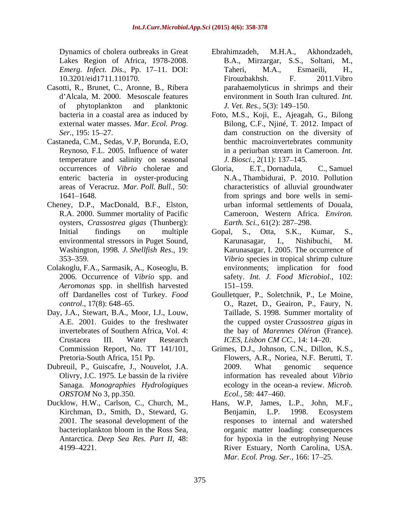- Casotti, R., Brunet, C., Aronne, B., Ribera d'Alcala, M. 2000. Mesoscale features
- Castaneda, C.M., Sedas, V.P, Borunda, E.O, temperature and salinity on seasonal *J. Biosci.*, 2(11): 137–145.
- Cheney, D.P., MacDonald, B.F., Elston, oysters, *Crassostrea gigas* (Thunberg):
- Colakoglu, F.A., Sarmasik, A., Koseoglu, B. 2006. Occurrence of *Vibrio* spp. and *Aeromonas* spp. in shellfish harvested
- Day, J.A., Stewart, B.A., Moor, I.J., Louw, Crustacea III. Water Research *ICES, Lisbon CM CC.*, 14: 14–20.
- Dubreuil, P., Guiscafre, J., Nouvelot, J.A. Sanaga. *Monographies Hydrologiques ORSTOM* No 3, pp.350. *Ecol.*, 58: 447–460.
- Antarctica. *Deep Sea Res. Part II*, 48:
- Dynamics of cholera outbreaks in Great Ebrahimzadeh, M.H.A., Akhondzadeh, Lakes Region of Africa, 1978-2008. B.A., Mirzargar, S.S., Soltani, M., *Emerg. Infect. Dis.*, Pp. 17–11. DOI: Taheri, M.A., Esmaeili, H., 10.3201/eid1711.110170. of phytoplankton and planktonic *J. Vet. Res.*, 5(3): 149–150. Ebrahimzadeh, M.H.A., Akhondzadeh, Taheri, M.A., Esmaeili, H., Firouzbakhsh. F. 2011.Vibro parahaemolyticus in shrimps and their environment in South Iran cultured. *Int. J. Vet. Res.,* 5(3): 149–150.
- bacteria in a coastal area as induced by Foto, M.S., Koji, E., Ajeagah, G., Bilong external water masses. *Mar. Ecol. Prog.* Bilong, C.F., Njiné, T. 2012. Impact of Ser., 195: 15–27. Reynoso, F.L. 2005. Influence of water in a periurban stream in Cameroon. *Int.*  benthic macroinvertebrates community *J. Biosci.,* 2(11): 137–145.
- occurrences of *Vibrio* cholerae and enteric bacteria in oyster-producing N.A., Thambidurai, P. 2010. Pollution areas of Veracruz. *Mar. Poll. Bull.*, 50: characteristics of alluvial groundwater 1641 1648. from springs and bore wells in semi- R.A. 2000. Summer mortality of Pacific Cameroon, Western Africa. *Environ.*  Gloria, E.T., Dornadula, C., Samuel urban informal settlements of Douala, *Earth. Sci.*, 61(2): 287-298.
- Initial findings on multiple Gopal, S., Otta, S.K., Kumar, S., environmental stressors in Puget Sound, Karunasagar, I., Nishibuchi, M. Washington, 1998*. J. Shellfish Res*., 19: Karunasagar, I. 2005. The occurrence of 353 359. *Vibrio* species in tropical shrimp culture Karunasagar, I., Nishibuchi, M. environments; implication for food safety. *Int. J. Food Microbiol*., 102: 151–159.
- off Dardanelles cost of Turkey. *Food*  Goulletquer, P., Soletchnik, P., Le Moine, *control*., 17(8): 648 65. O., Razet, D., Geairon, P., Faury, N. A.E. 2001. Guides to the freshwater the cupped oyster *Crassostrea gigas* in invertebrates of Southern Africa, Vol. 4: the bay of *Marennes Oléron* (France). Taillade, S. 1998. Summer mortality of *ICES, Lisbon CM CC.,* 14: 14–20.
- Commission Report, No. TT 141/101, Grimes, D.J., Johnson, C.N., Dillon, K.S., Pretoria-South Africa, 151 Pp. Flowers, A.R., Noriea, N.F. Berutti, T. Olivry, J.C. 1975. Le bassin de la rivière information has revealed about *Vibrio* 2009. What genomic sequence ecology in the ocean-a review. *Microb. Ecol.,* 58: 447 460.
- Ducklow, H.W., Carlson, C., Church, M., Hans, W.P, James, L.P., John, M.F., Kirchman, D., Smith, D., Steward, G. Benjamin, L.P. 1998. Ecosystem 2001. The seasonal development of the responses to internal and watershed bacterioplankton bloom in the Ross Sea, organic matter loading: consequences 4199 4221. River Estuary, North Carolina, USA. Benjamin, L.P. 1998. Ecosystem for hypoxia in the eutrophying Neuse *Mar. Ecol. Prog. Ser.,* 166: 17–25.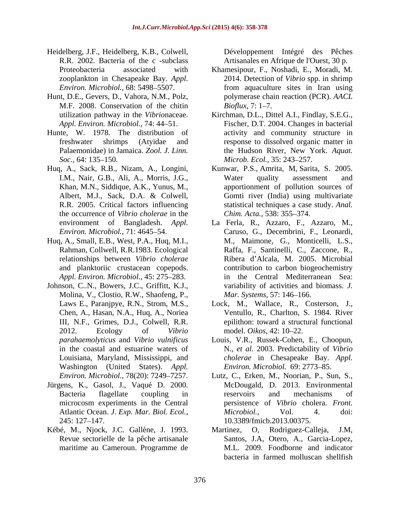- Heidelberg, J.F., Heidelberg, K.B., Colwell, R.R. 2002. Bacteria of the c -subclass
- Hunt, D.E., Gevers, D., Vahora, N.M., Polz, M.F. 2008. Conservation of the chitin *Bioflux*, 7:1–7.
- Hunte, W. 1978. The distribution of Palaemonidae) in Jamaica. *Zool. J. Linn. Soc.*, 64: 135–150. *Microb. Ecol.*, 35: 243–257.
- Huq, A., Sack, R.B., Nizam, A., Longini, the occurrence of *Vibrio cholerae* in the
- Huq, A., Small, E.B., West, P.A., Huq, M.I., Rahman, Collwell, R.R.1983. Ecological and planktoriic crustacean copepods.
- Johnson, C..N., Bowers, J.C., Griffitt, K.J., Molina, V., Clostio, R.W., Shaofeng, P., Mar. Systems, 57: 146–166. Washington (United States). *Appl.*
- Jürgens, K., Gasol, J., Vaqué D. 2000. microcosm experiments in the Central
- Kébé, M., Njock, J.C. Gallène, J. 1993. maritime au Cameroun. Programme de

Développement Intégré des Pêches Artisanales en Afrique de l'Ouest, 30 p.

- Proteobacteria associated with Khamesipour, F., Noshadi, E., Moradi, M. zooplankton in Chesapeake Bay. *Appl.*  2014. Detection of *Vibrio* spp. in shrimp *Environ. Microbiol.*, 68: 5498–5507. from aquaculture sites in Iran using polymerase chain reaction (PCR). *AACL Bioflux, 7:* 1–7.
- utilization pathway in the *Vibrio*naceae. Kirchman, D.L., Dittel A.I., Findlay, S.E.G., *Appl. Environ. Microbiol.,* 74: 44 51. Fischer, D.T. 2004. Changes in bacterial freshwater shrimps (Atyidae and response to dissolved organic matter in activity and community structure in the Hudson River, New York. *Aquat. Microb. Ecol.,* 35: 243–257.
- I.M., Nair, G.B., Ali, A., Morris, J.G., Water quality assessment and Khan, M.N., Siddique, A.K., Yunus, M., apportionment of pollution sources of Albert, M.J., Sack, D.A. & Colwell, R.R. 2005. Critical factors influencing statistical techniques a case study.*Anal.*  Kunwar, P.S., Amrita, M, Sarita, S. 2005. Water quality assessment and Gomti river (India) using multivariate *Chim. Acta.,* 538: 355-374.
- environment of Bangladesh. *Appl.*  La Ferla, R., Azzaro, F., Azzaro, M., *Environ. Microbiol.,* 71: 4645 54. Caruso, G., Decembrini, F., Leonardi, relationships between *Vibrio cholerae* Ribera d Alcala, M. 2005. Microbial Appl. Environ. Microbiol., 45: 275–283. **in** the Central Mediterranean Sea: M., Maimone, G., Monticelli, L.S., Raffa, F., Santinelli, C., Zaccone, R., contribution to carbon biogeochemistry variability of activities and biomass. *J. Mar. Systems,* 57: 146 166.
- Laws E., Paranjpye, R.N., Strom, M.S., Lock, M., Wallace, R., Costerson, J., Chen, A., Hasan, N.A., Huq, A., Noriea Ventullo, R., Charlton, S. 1984. River III, N.F., Grimes, D.J., Colwell, R.R. epilithon: toward a structural functional 2012. Ecology of *Vibrio*  model. *Oikos*, 42: 10–22.
- *parahaemolyticus* and *Vibrio vulnificus* Louis, V.R., Russek-Cohen, E., Choopun, in the coastal and estuarine waters of N., *et al.* 2003. Predictability of *Vibrio*  Louisiana, Maryland, Mississippi, and *cholerae* in Chesapeake Bay. *Appl. Environ. Microbiol.* 69: 2773-85.
- *Environ. Microbiol.,* 78(20): 7249 7257. Lutz, C., Erken, M., Noorian, P., Sun, S., Bacteria flagellate coupling in meservoirs and mechanisms of Atlantic Ocean. *J. Exp. Mar. Biol. Ecol.*, *Microbiol.*, Vol. 4. doi:<br>245: 127–147. 10.3389/fmicb.2013.00375. McDougald, D. 2013. Environmental reservoirs and mechanisms of persistence of *Vibrio* cholera. *Front. Microbiol.*, Vol. 4. doi: 10.3389/fmicb.2013.00375.
- Revue sectorielle de la pêche artisanale Santos, J.A, Otero, A., Garcia-Lopez, Rodriguez-Calleja, M.L. 2009. Foodborne and indicator bacteria in farmed molluscan shellfish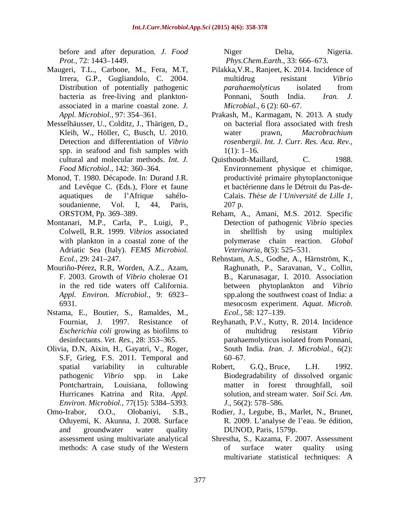before and after depuration. *J. Food*

- associated in a marine coastal zone. *J.*
- Messelhäusser, U., Colditz, J., Thärigen, D., spp. in seafood and fish samples with  $1(1)$ : 1–16.
- Monod, T. 1980. Décapode. In: Durand J.R. soudanienne, Vol. I, 44, Paris, 207 p.
- Montanari, M.P., Carla, P., Luigi, P., Adriatic Sea (Italy). *FEMS Microbiol.*
- Mouriño-Pérez, R.R, Worden, A.Z., Azam, *Appl. Environ. Microbiol.,* 9: 6923
- Nstama, E., Boutier, S., Ramaldes, M.,
- Olivia, D.N, Aixin, H., Gayatri, V., Roger, S.F, Grieg, F.S. 2011. Temporal and *Environ. Microbiol.,* 77(15): 5384–5393. *J.,* 56(2): 578–586.
- 

*Prot.,* 72: 1443–1449. *Phys.Chem.Earth.,* 33: 666–673. Niger Delta, Nigeria.

- Maugeri, T.L., Carbone, M., Fera, M.T, Pilakka,V.R., Ranjeet, K. 2014. Incidence of Irrera, G.P., Gugliandolo, C. 2004. multidrug resistant Vibrio Distribution of potentially pathogenic *parahaemolyticus* isolated from bacteria as free-living and plankton-<br>
Ponnani, South India. Iran. J. multidrug resistant *Vibrio parahaemolyticus* isolated from Ponnani, South India. *Iran. J. Microbial.,* 6 (2): 60–67.
	- *Appl. Microbiol.,* 97: 354 361. Prakash, M., Karmagam, N. 2013. A study Kleih, W., Höller, C. Busch, U. 2010. vater prawn, Macrobrachium Detection and differentiation of *Vibrio rosenbergii*. *Int. J. Curr. Res. Aca. Rev.,* on bacterial flora associated with fresh water prawn, *Macrobrachium*   $1(1): 1-16.$
	- cultural and molecular methods. *Int. J.* Ouisthoudt-Maillard, C. 1988. Food Microbiol., 142: 360–364. **Environmement** physique et chimique, and Levêque C. (Eds.), Flore et faune et bactérienne dans le Détroit du Pas-de aquatiques de l'Afrique sahélo-<br>Calais. Thèse de l'Université de Lille 1, Ouisthoudt-Maillard, productivité primaire phytoplanctonique Calais. *Thèse de <sup>l</sup> Université de Lille <sup>1</sup>*, 207 p.
	- ORSTOM, Pp. 369–389. Reham, A., Amani, M.S. 2012. Specific Colwell, R.R. 1999. *Vibrio*s associated with plankton in a coastal zone of the **polymerase** chain reaction. *Global* Detection of pathogenic *Vibrio* species in shellfish by using multiplex *Veterinaria*, 8(5): 525–531.
	- *Ecol.,* 29: 241 247. Rehnstam, A.S., Godhe, A., Härnström, K., F. 2003. Growth of *Vibrio* cholerae O1 B., Karunasagar, I. 2010. Association in the red tide waters off California. between phytoplankton and *Vibrio* 6931. mesocosm experiment. *Aquat. Microb.* Raghunath, P., Saravanan, V., Collin, spp.along the southwest coast of India: a *Ecol.*, 58: 127–139.
	- Fourniat, J. 1997. Resistance of Reyhanath, P.V., Kutty, R. 2014. Incidence *Escherichia coli* growing as biofilms to be multidrug resistant Vibrio desinfectants. *Vet. Res.*, 28: 353–365. parahaemolyticus isolated from Ponnani, of multidrug resistant *Vibrio* South India. *Iran. J. Microbial.,* 6(2): 60 67.
	- spatial variability in culturable Robert, G.Q., Bruce, L.H. 1992. pathogenic *Vibrio* spp. in Lake Biodegradability of dissolved organic Pontchartrain, Louisiana, following matter in forest throughfall, soil Hurricanes Katrina and Rita. *Appl.*  solution, and stream water. *Soil Sci. Am.*  Robert, G.Q., Bruce, L.H. 1992. *J.*, 56(2): 578–586.
- Omo-Irabor, O.O., Olobaniyi, S.B., Rodier, J., Legube, B., Marlet, N., Brunet, Oduyemi, K. Akunna, J. 2008. Surface R. 2009. L'analyse de l'eau. 9e édition, and groundwater water quality DUNOD, Paris, 1579p. DUNOD, Paris, 1579p.
	- assessment using multivariate analytical Shrestha, S., Kazama, F. 2007. Assessment methods: A case study of the Western of surface water quality using of surface water quality using multivariate statistical techniques: A